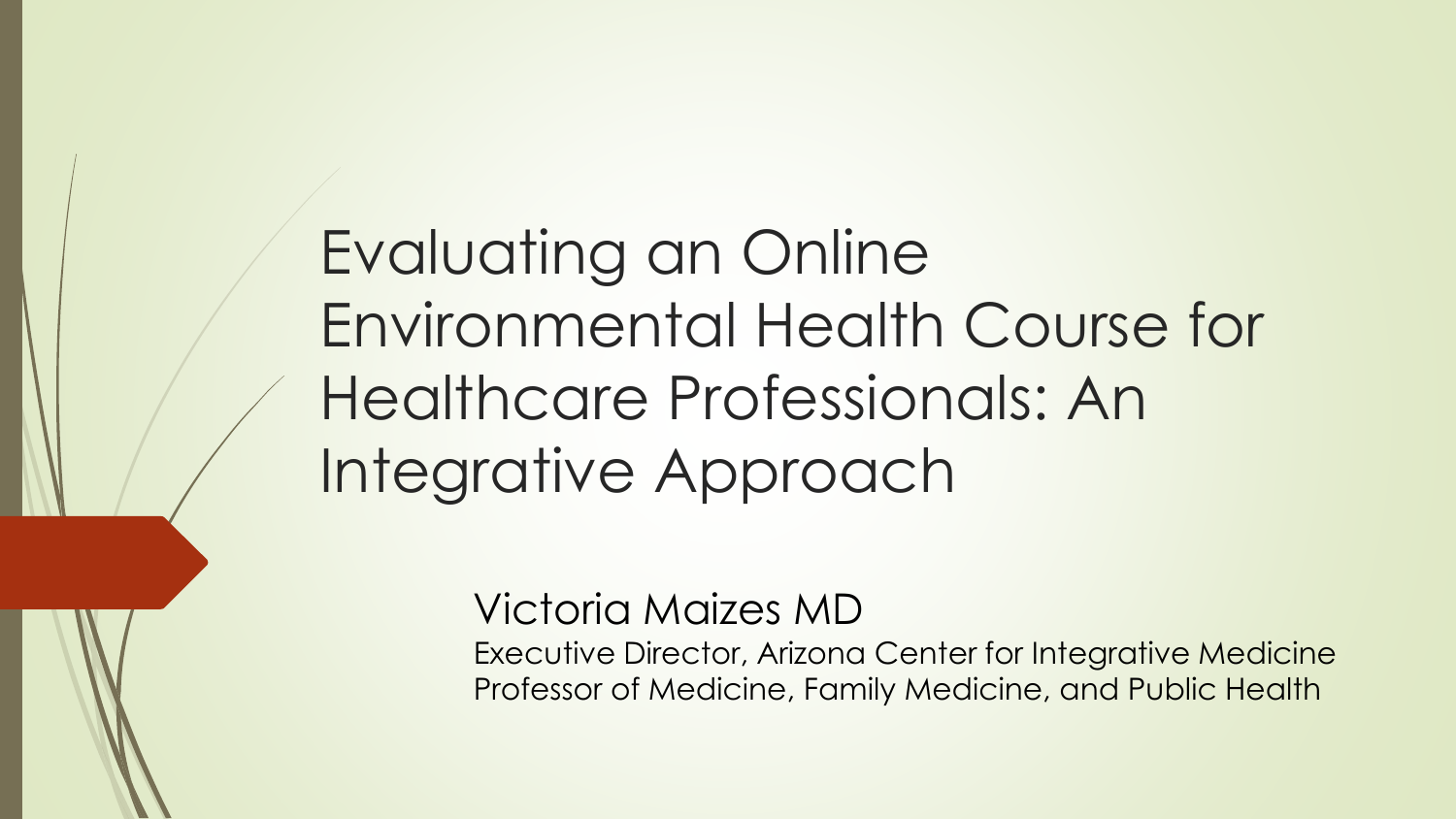Evaluating an Online Environmental Health Course for Healthcare Professionals: An Integrative Approach

#### Victoria Maizes MD

Executive Director, Arizona Center for Integrative Medicine Professor of Medicine, Family Medicine, and Public Health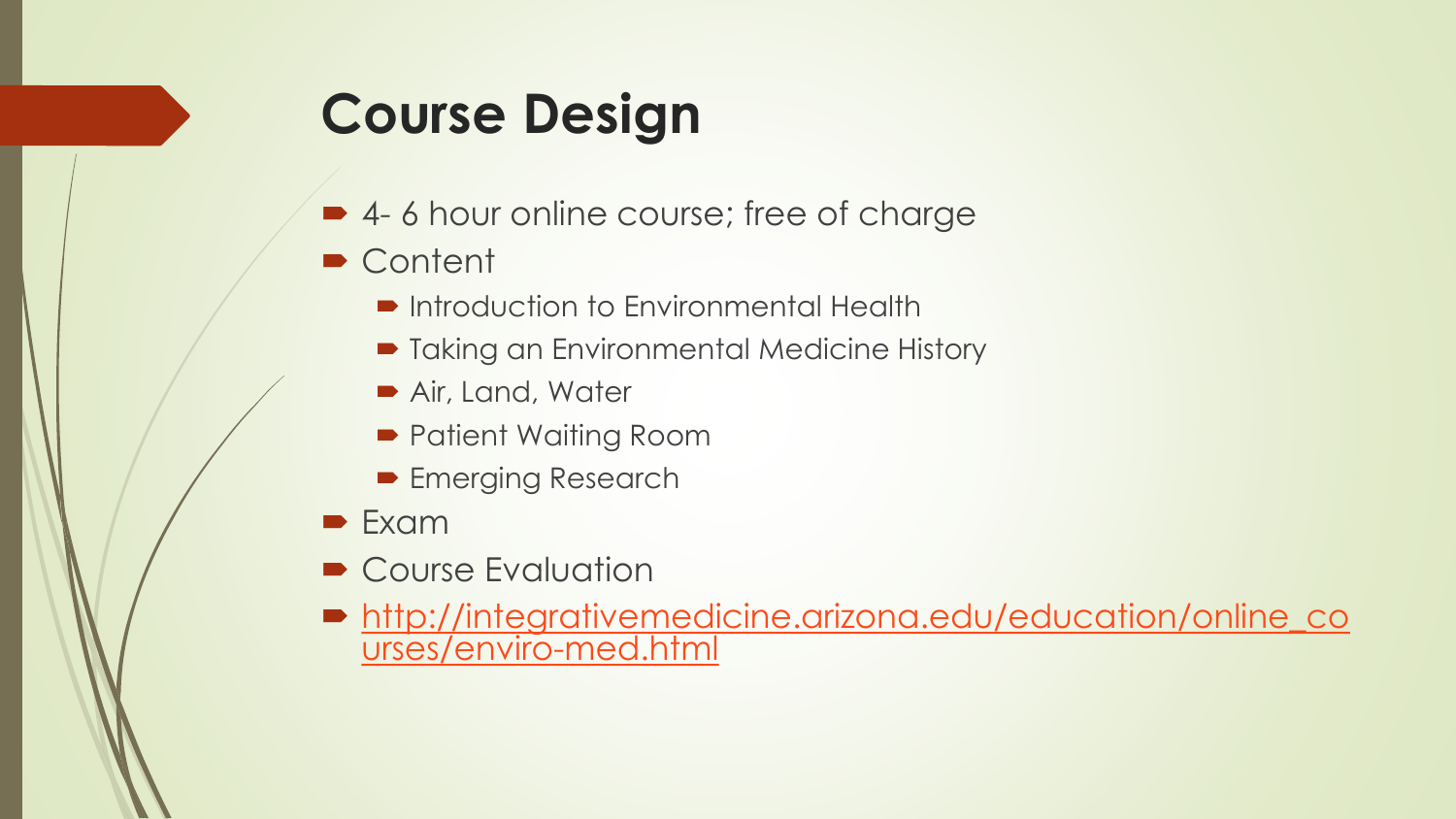## **Course Design**

- 4-6 hour online course; free of charge
- Content
	- **Introduction to Environmental Health**
	- Taking an Environmental Medicine History
	- Air, Land, Water
	- Patient Waiting Room
	- **Emerging Research**
- $\blacktriangleright$  Exam
- Course Evaluation
- [http://integrativemedicine.arizona.edu/education/online\\_co](http://integrativemedicine.arizona.edu/education/online_courses/enviro-med.html) urses/enviro-med.html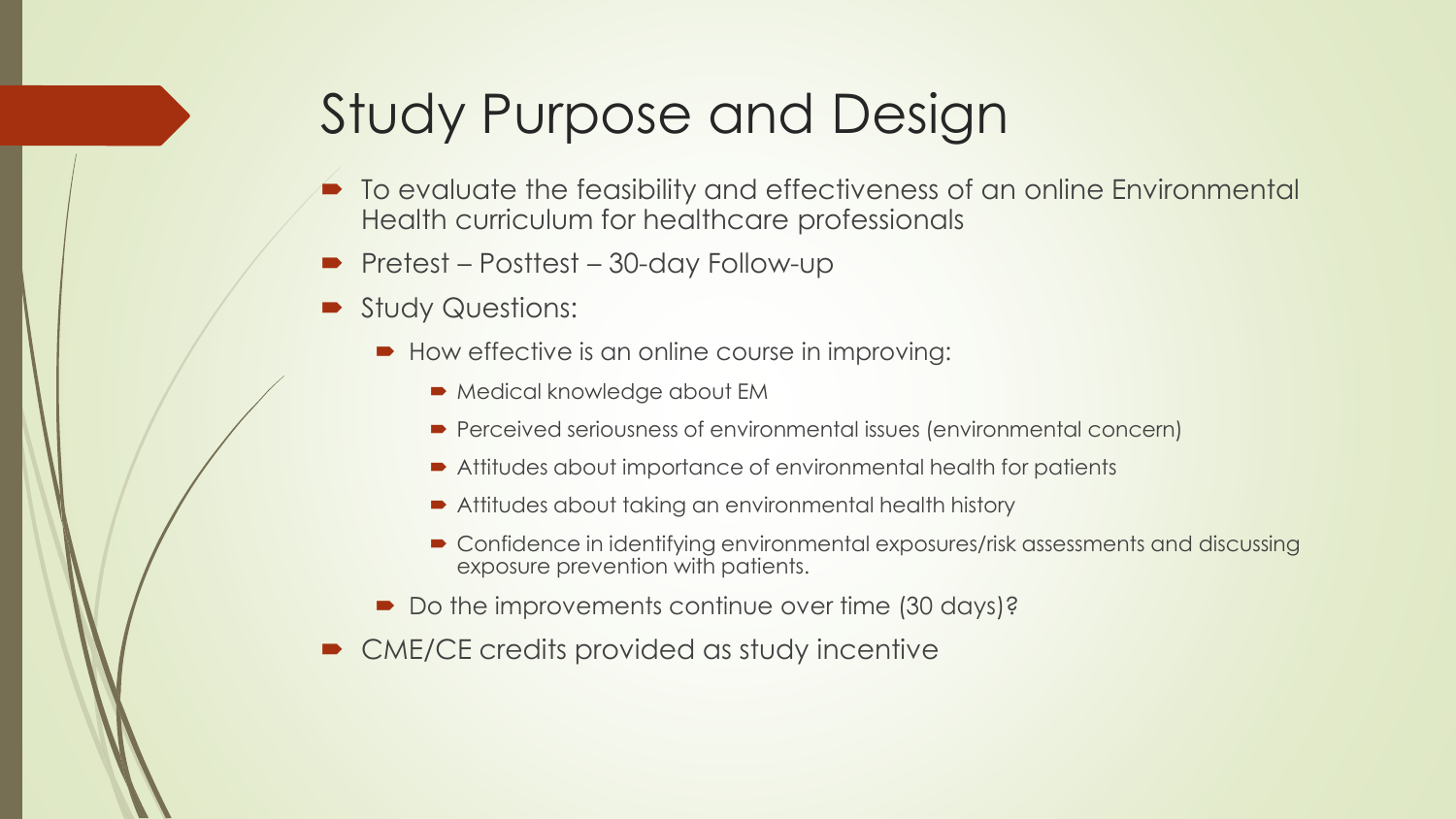#### Study Purpose and Design

- To evaluate the feasibility and effectiveness of an online Environmental Health curriculum for healthcare professionals
- Pretest Posttest 30-day Follow-up
- Study Questions:
	- How effective is an online course in improving:
		- **Medical knowledge about EM**
		- Perceived seriousness of environmental issues (environmental concern)
		- Attitudes about importance of environmental health for patients
		- Attitudes about taking an environmental health history
		- Confidence in identifying environmental exposures/risk assessments and discussing exposure prevention with patients.
	- Do the improvements continue over time (30 days)?
- CME/CE credits provided as study incentive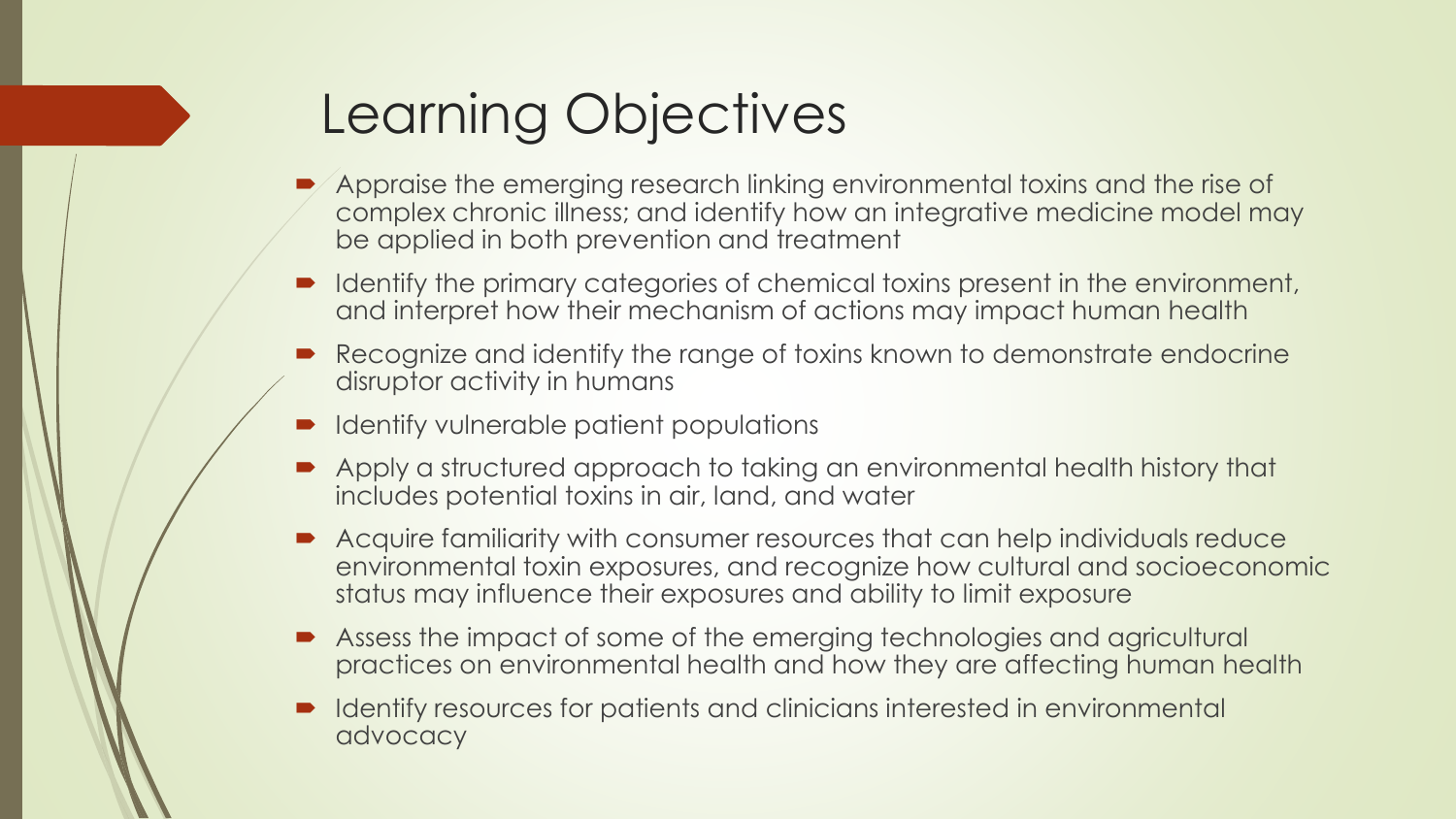## Learning Objectives

- Appraise the emerging research linking environmental toxins and the rise of complex chronic illness; and identify how an integrative medicine model may be applied in both prevention and treatment
- Identify the primary categories of chemical toxins present in the environment, and interpret how their mechanism of actions may impact human health
- Recognize and identify the range of toxins known to demonstrate endocrine disruptor activity in humans
- **Identify vulnerable patient populations**
- Apply a structured approach to taking an environmental health history that includes potential toxins in air, land, and water
- Acquire familiarity with consumer resources that can help individuals reduce environmental toxin exposures, and recognize how cultural and socioeconomic status may influence their exposures and ability to limit exposure
- Assess the impact of some of the emerging technologies and agricultural practices on environmental health and how they are affecting human health
- Identify resources for patients and clinicians interested in environmental advocacy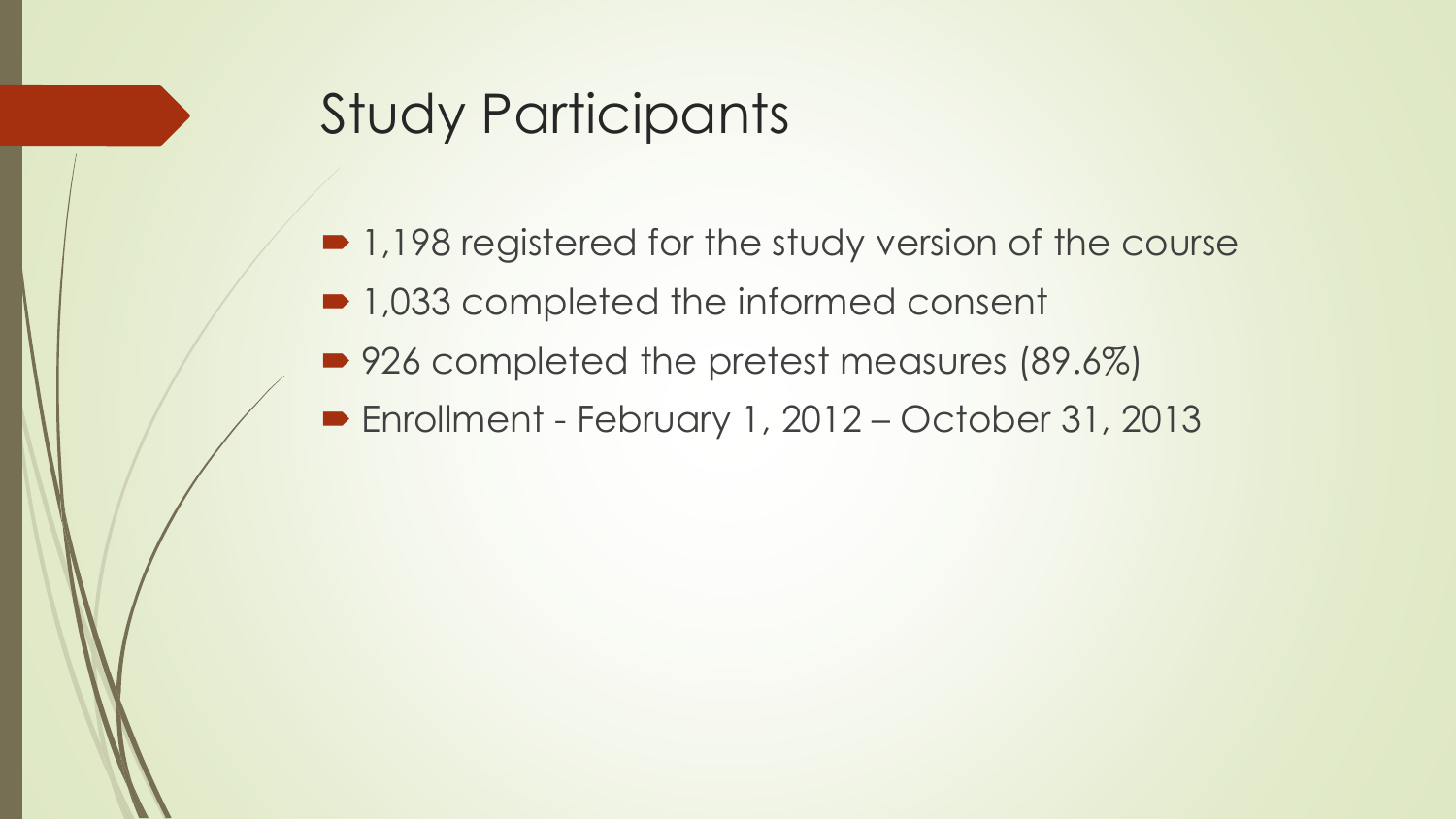#### Study Participants

- 1,198 registered for the study version of the course
- 1,033 completed the informed consent
- 926 completed the pretest measures (89.6%)
- Enrollment February 1, 2012 October 31, 2013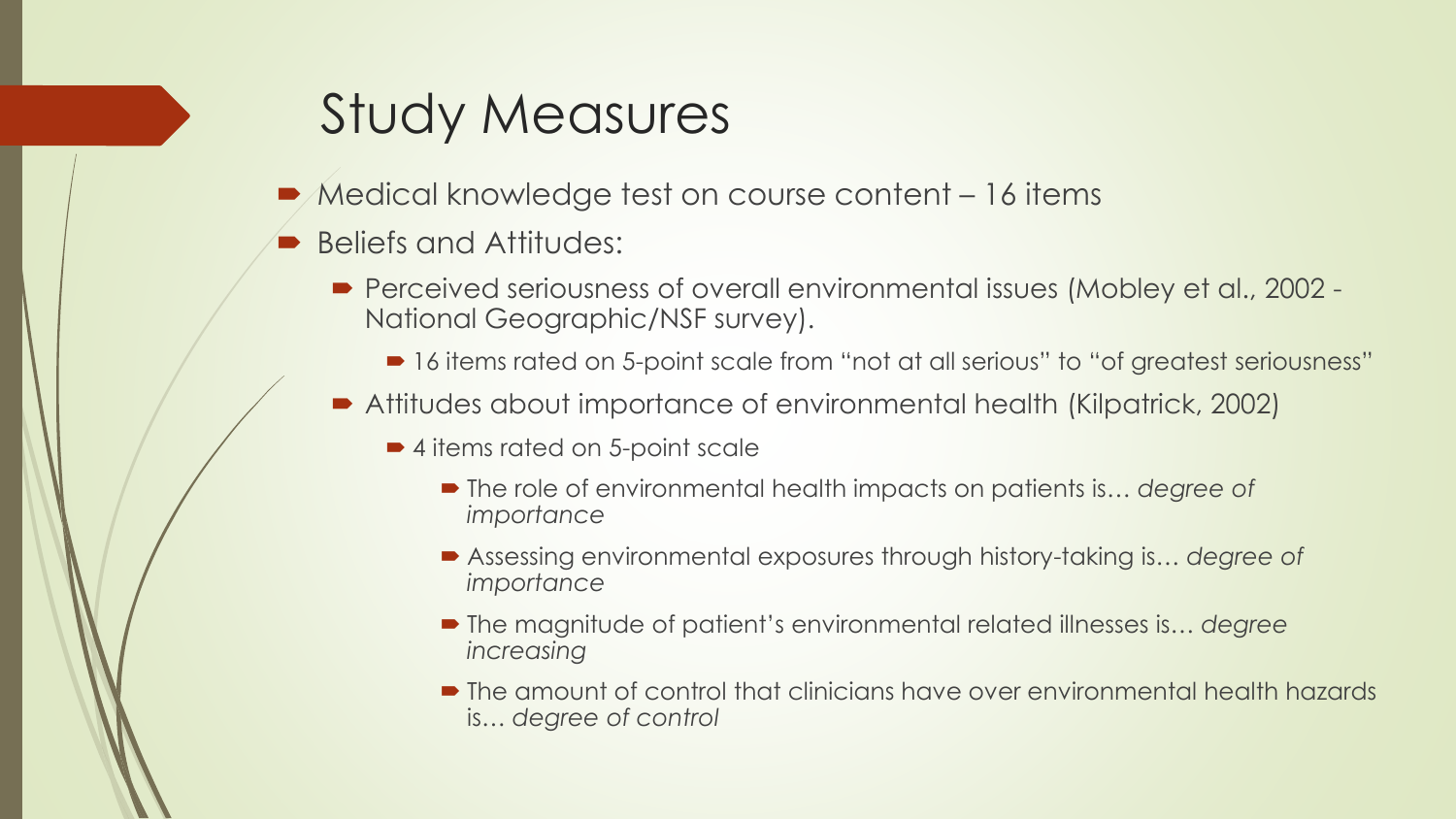#### Study Measures

- Medical knowledge test on course content 16 items
- Beliefs and Attitudes:
	- Perceived seriousness of overall environmental issues (Mobley et al., 2002 National Geographic/NSF survey).
		- 16 items rated on 5-point scale from "not at all serious" to "of greatest seriousness"
	- Attitudes about importance of environmental health (Kilpatrick, 2002)
		- 4 items rated on 5-point scale
			- The role of environmental health impacts on patients is... *degree of importance*
			- Assessing environmental exposures through history-taking is… *degree of importance*
			- The magnitude of patient's environmental related illnesses is... degree *increasing*
			- The amount of control that clinicians have over environmental health hazards is… *degree of control*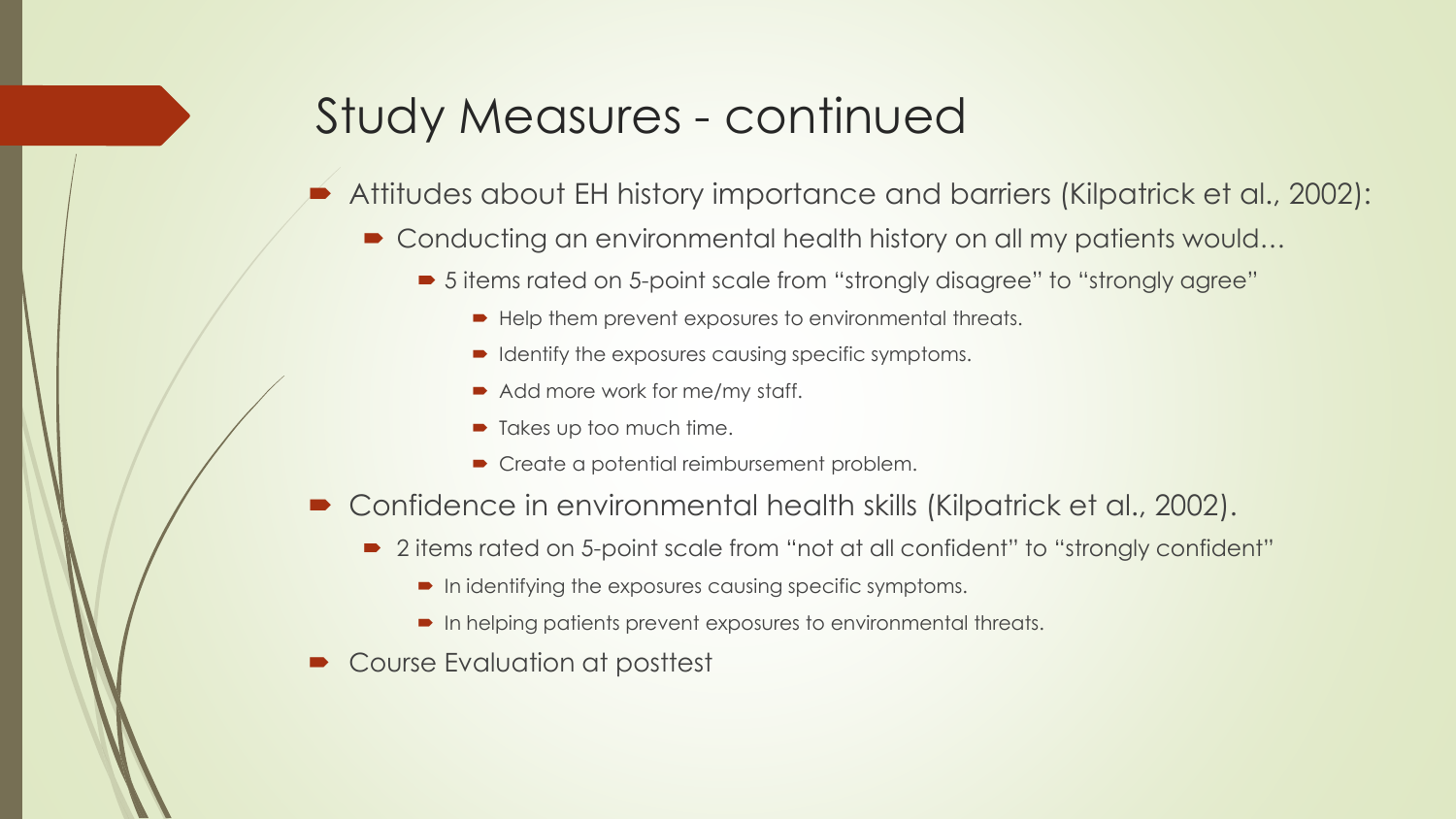#### Study Measures - continued

- Attitudes about EH history importance and barriers (Kilpatrick et al., 2002):
	- Conducting an environmental health history on all my patients would...
		- 5 items rated on 5-point scale from "strongly disagree" to "strongly agree"
			- $\blacktriangleright$  Help them prevent exposures to environmental threats.
			- $\blacksquare$  Identify the exposures causing specific symptoms.
			- Add more work for me/my staff.
			- Takes up too much time.
			- Create a potential reimbursement problem.
- Confidence in environmental health skills (Kilpatrick et al., 2002).
	- 2 items rated on 5-point scale from "not at all confident" to "strongly confident"
		- $\blacksquare$  In identifying the exposures causing specific symptoms.
		- In helping patients prevent exposures to environmental threats.
- Course Evaluation at posttest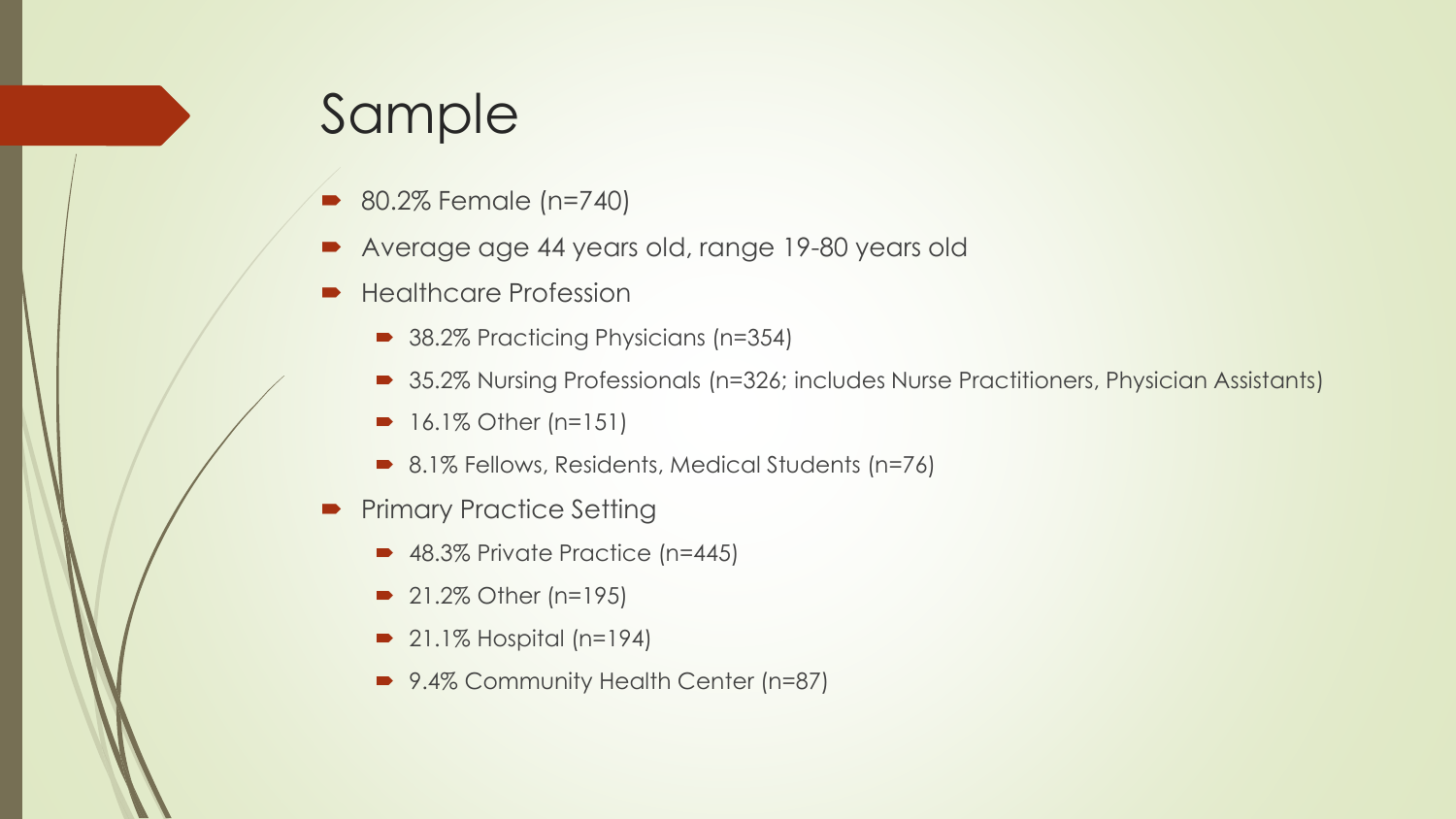#### Sample

- 80.2% Female (n=740)
- Average age 44 years old, range 19-80 years old
- Healthcare Profession
	- 38.2% Practicing Physicians (n=354)
	- 35.2% Nursing Professionals (n=326; includes Nurse Practitioners, Physician Assistants)
	- 16.1% Other (n=151)
	- 8.1% Fellows, Residents, Medical Students (n=76)
- **Primary Practice Setting** 
	- 48.3% Private Practice (n=445)
	- **21.2% Other (n=195)**
	- $\bullet$  21.1% Hospital (n=194)
	- 9.4% Community Health Center (n=87)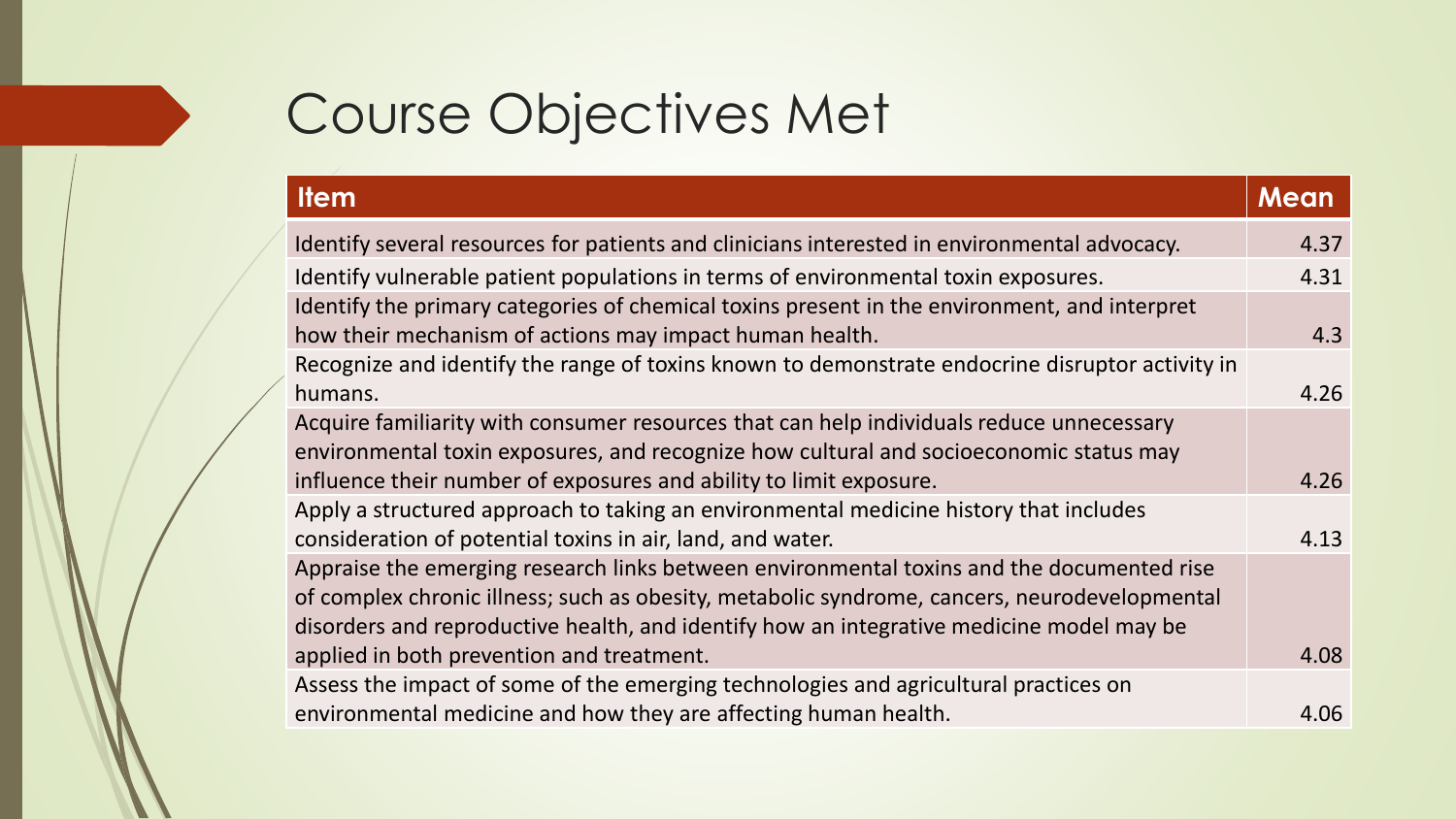#### Course Objectives Met

| <b>Item</b>                                                                                                                                                                                                                                                                           | <b>Mean</b> |
|---------------------------------------------------------------------------------------------------------------------------------------------------------------------------------------------------------------------------------------------------------------------------------------|-------------|
| Identify several resources for patients and clinicians interested in environmental advocacy.                                                                                                                                                                                          | 4.37        |
| Identify vulnerable patient populations in terms of environmental toxin exposures.                                                                                                                                                                                                    | 4.31        |
| Identify the primary categories of chemical toxins present in the environment, and interpret<br>how their mechanism of actions may impact human health.                                                                                                                               | 4.3         |
| Recognize and identify the range of toxins known to demonstrate endocrine disruptor activity in<br>humans.                                                                                                                                                                            | 4.26        |
| Acquire familiarity with consumer resources that can help individuals reduce unnecessary<br>environmental toxin exposures, and recognize how cultural and socioeconomic status may<br>influence their number of exposures and ability to limit exposure.                              | 4.26        |
| Apply a structured approach to taking an environmental medicine history that includes<br>consideration of potential toxins in air, land, and water.                                                                                                                                   | 4.13        |
| Appraise the emerging research links between environmental toxins and the documented rise<br>of complex chronic illness; such as obesity, metabolic syndrome, cancers, neurodevelopmental<br>disorders and reproductive health, and identify how an integrative medicine model may be |             |
| applied in both prevention and treatment.                                                                                                                                                                                                                                             | 4.08        |
| Assess the impact of some of the emerging technologies and agricultural practices on<br>environmental medicine and how they are affecting human health.                                                                                                                               | 4.06        |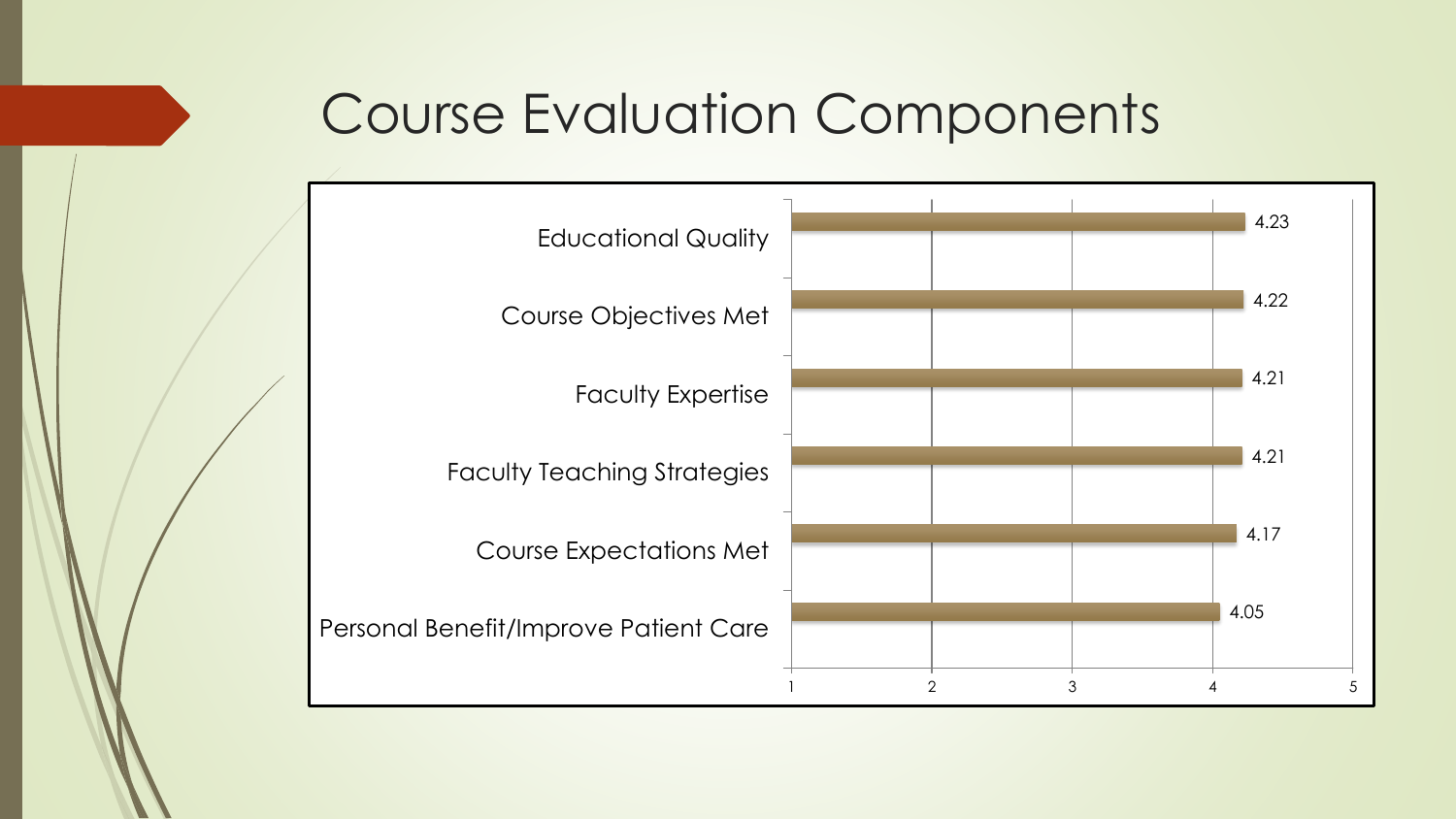#### Course Evaluation Components

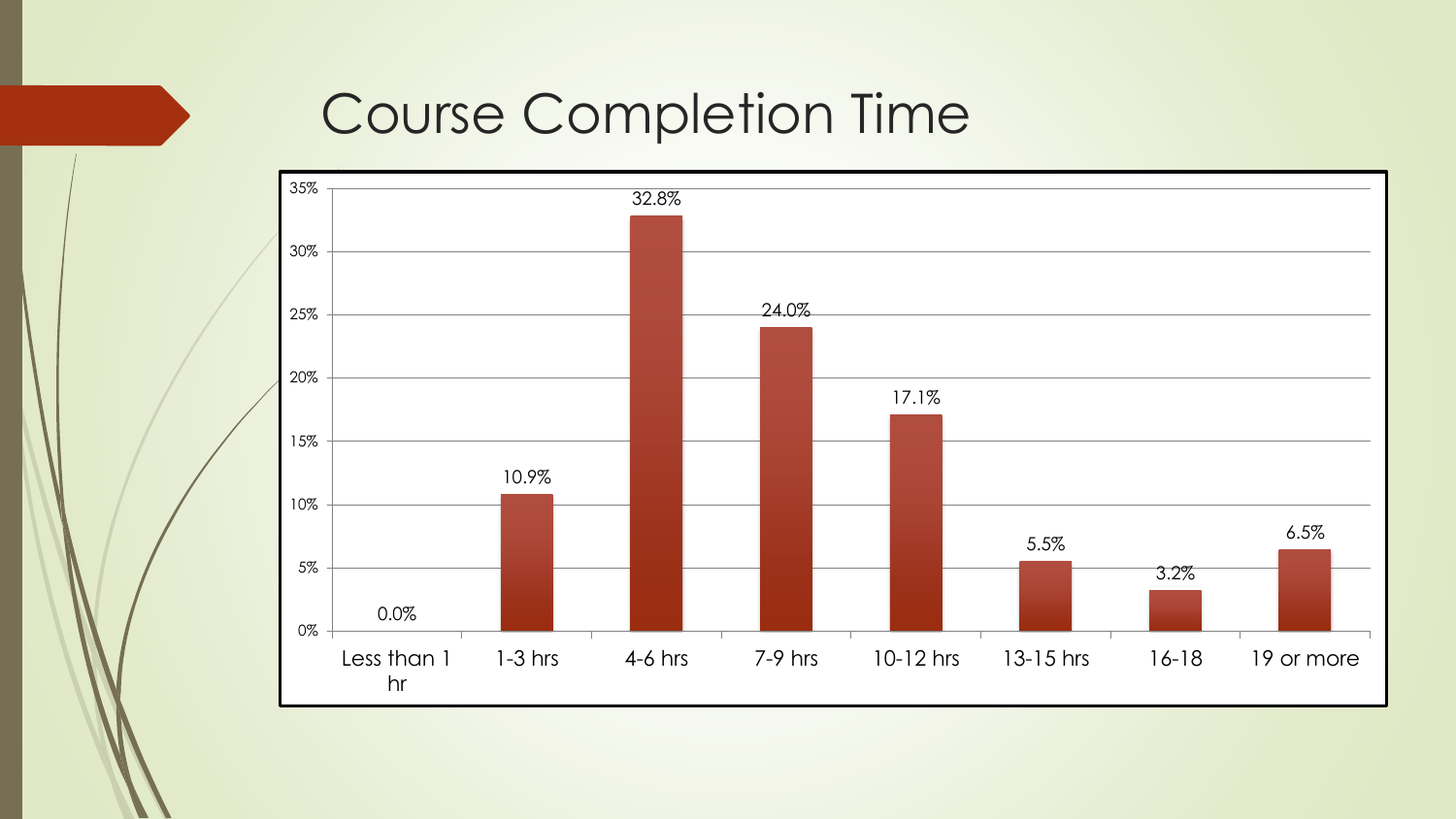#### Course Completion Time

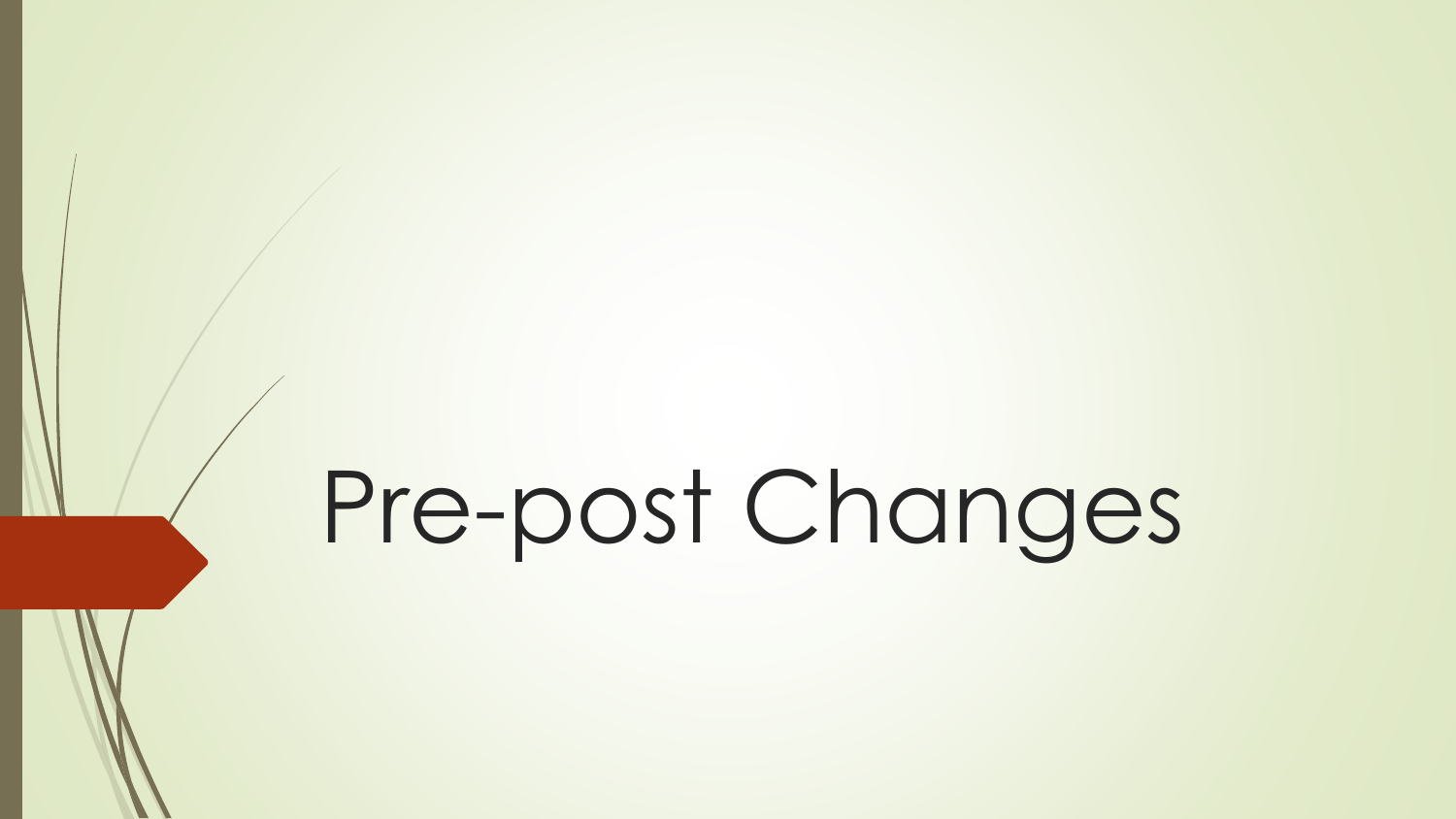## Pre-post Changes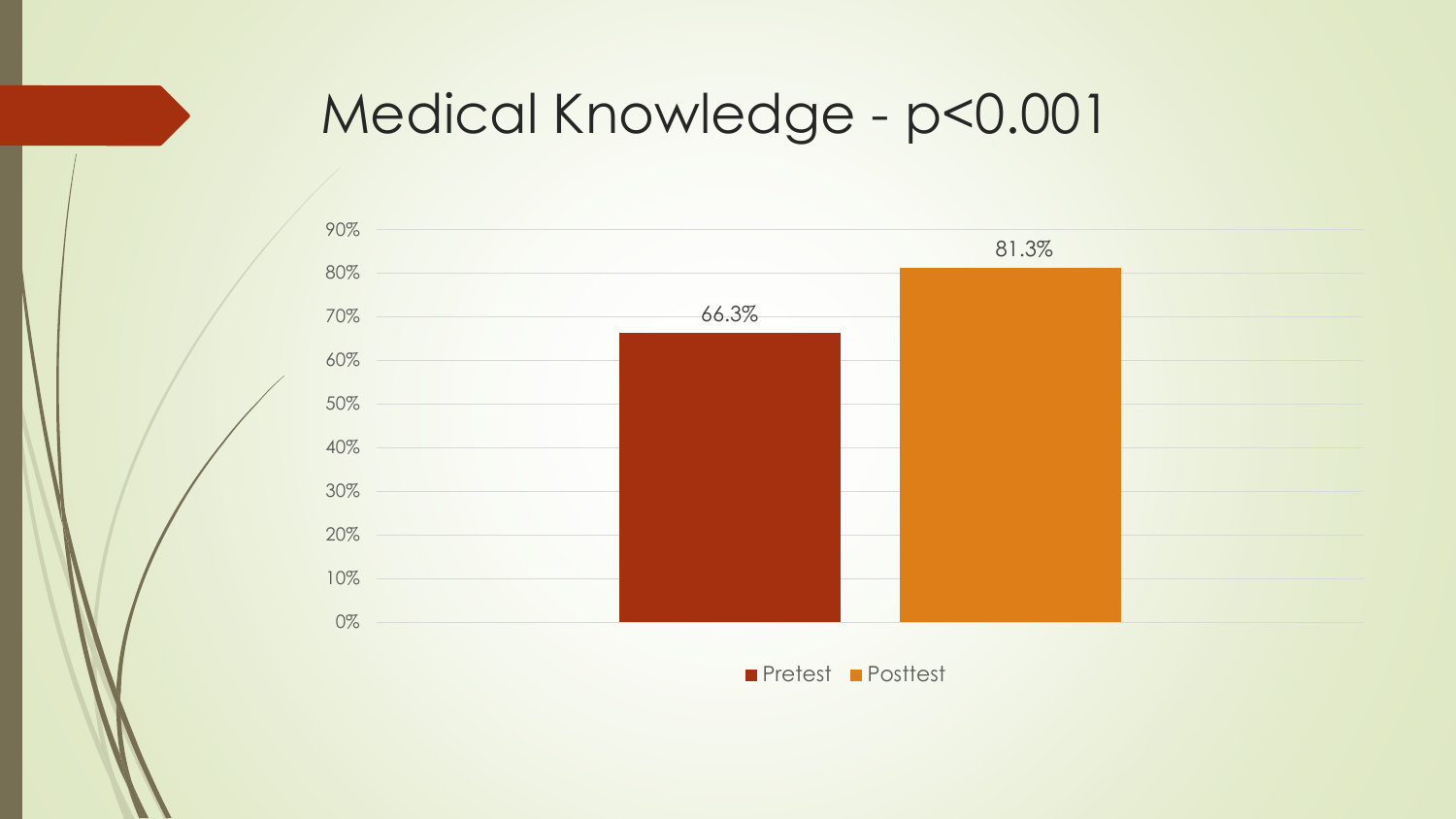#### Medical Knowledge - p<0.001



**Pretest Posttest**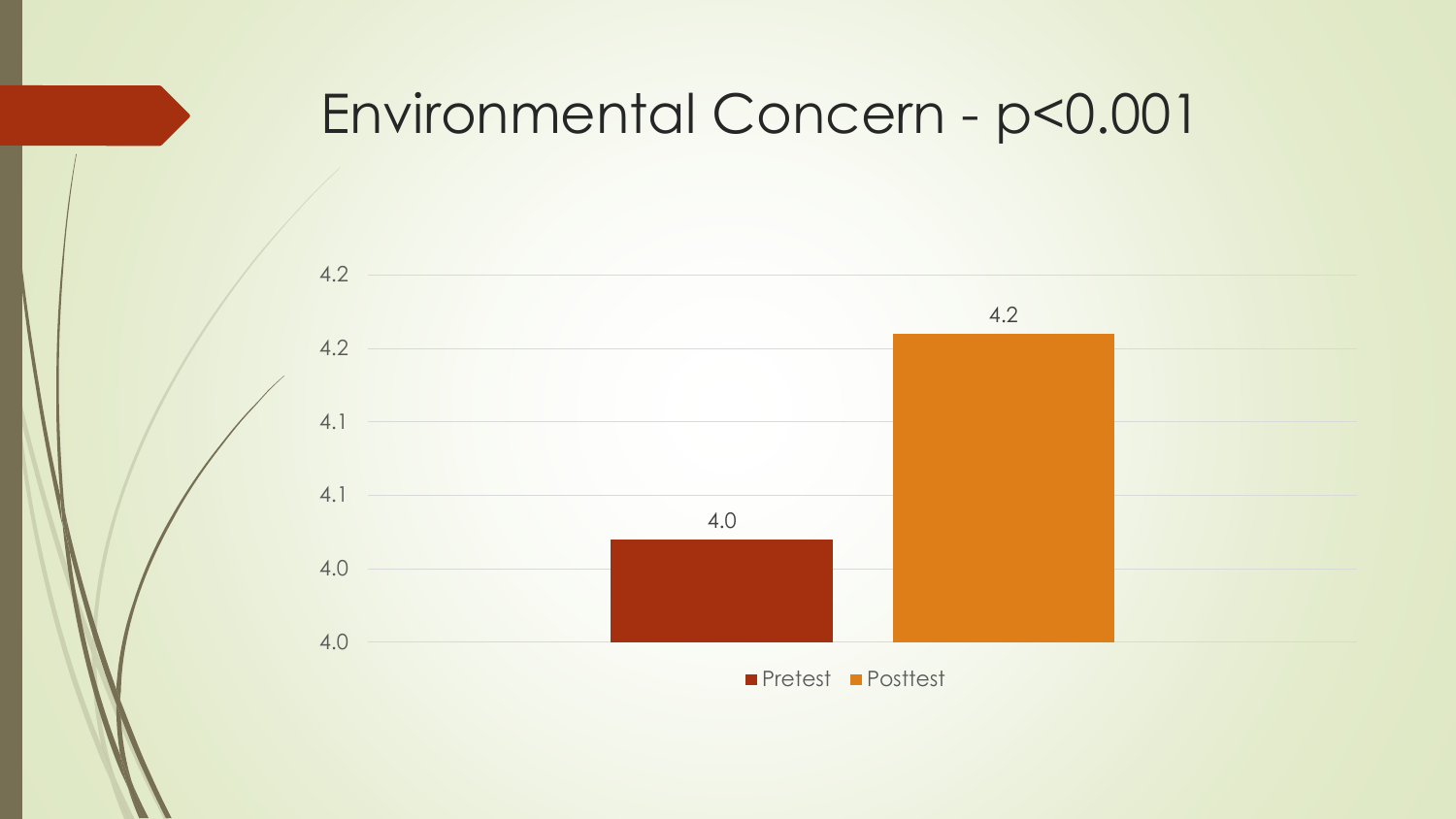#### Environmental Concern - p<0.001



**Pretest Posttest**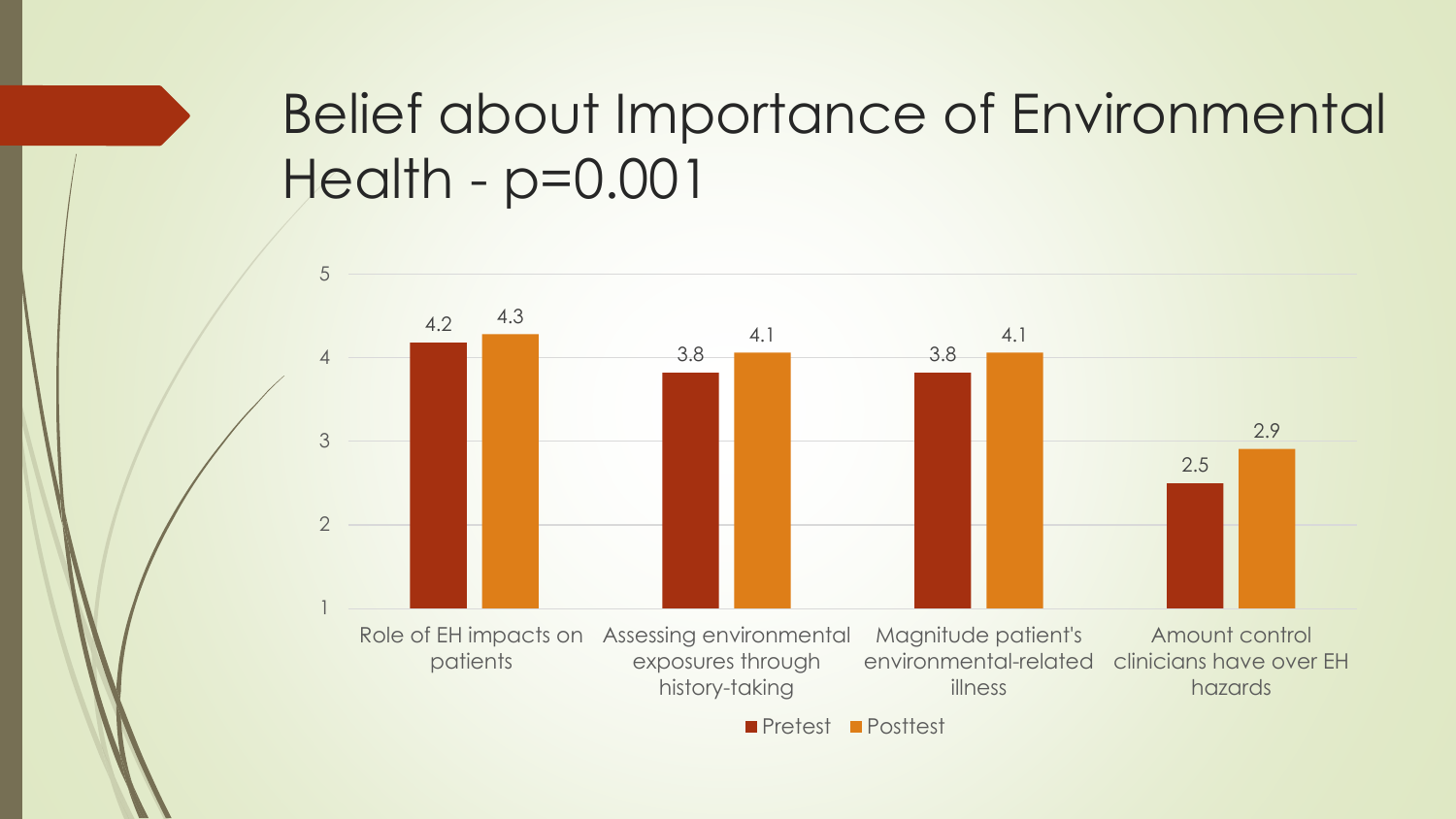#### Belief about Importance of Environmental Health - p=0.001

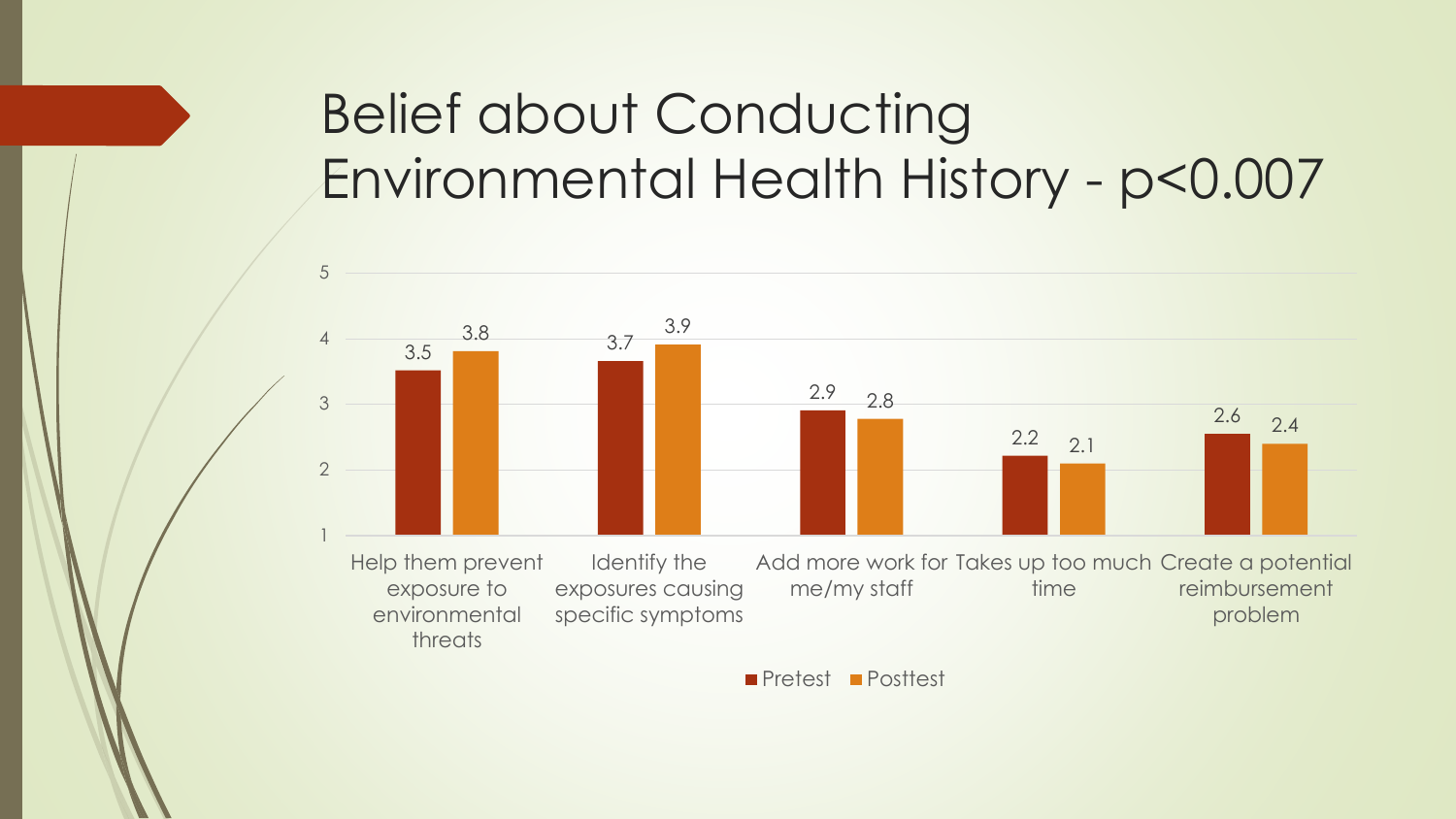#### Belief about Conducting Environmental Health History - p<0.007



Pretest Posttest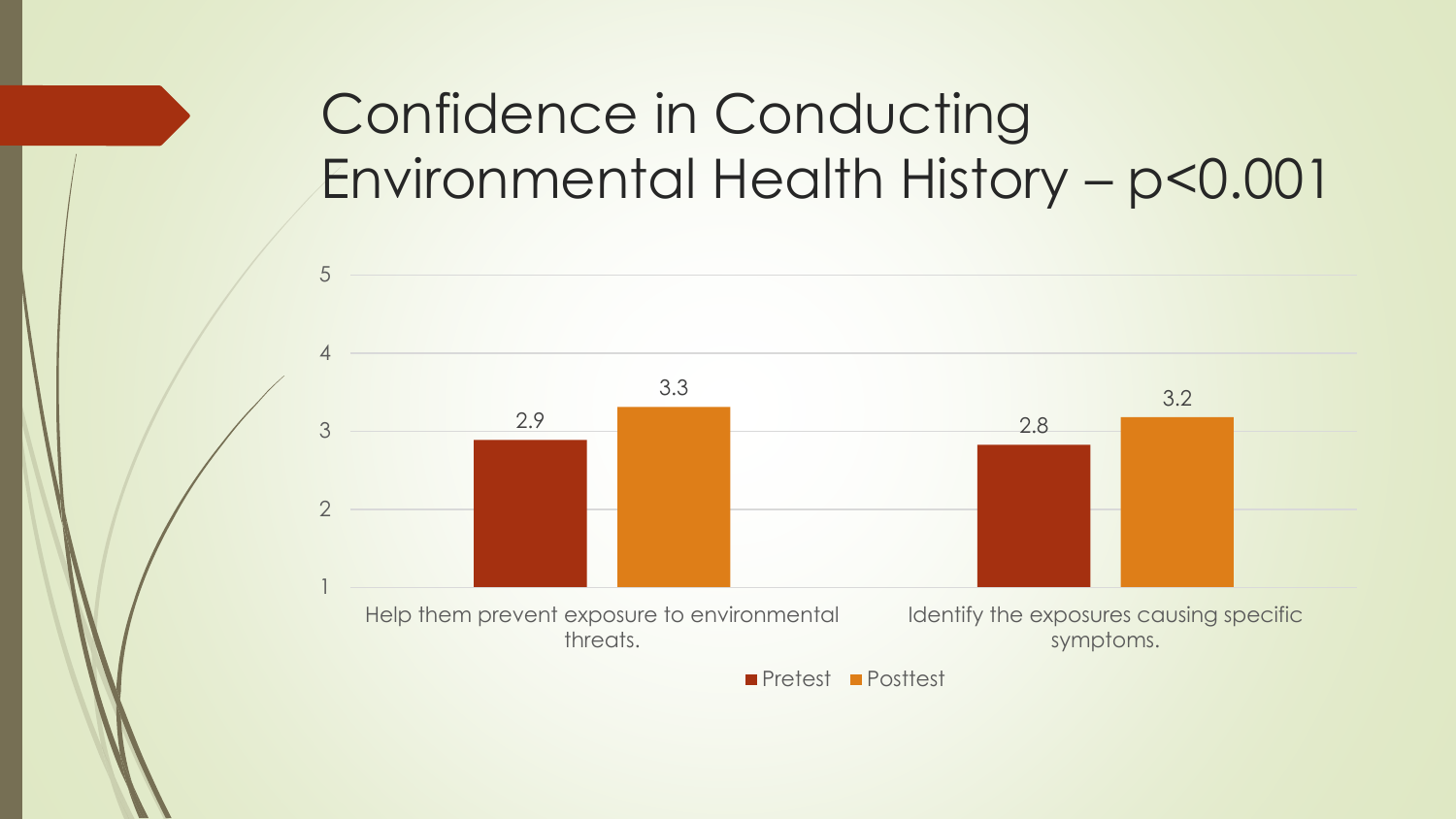### Confidence in Conducting Environmental Health History – p<0.001

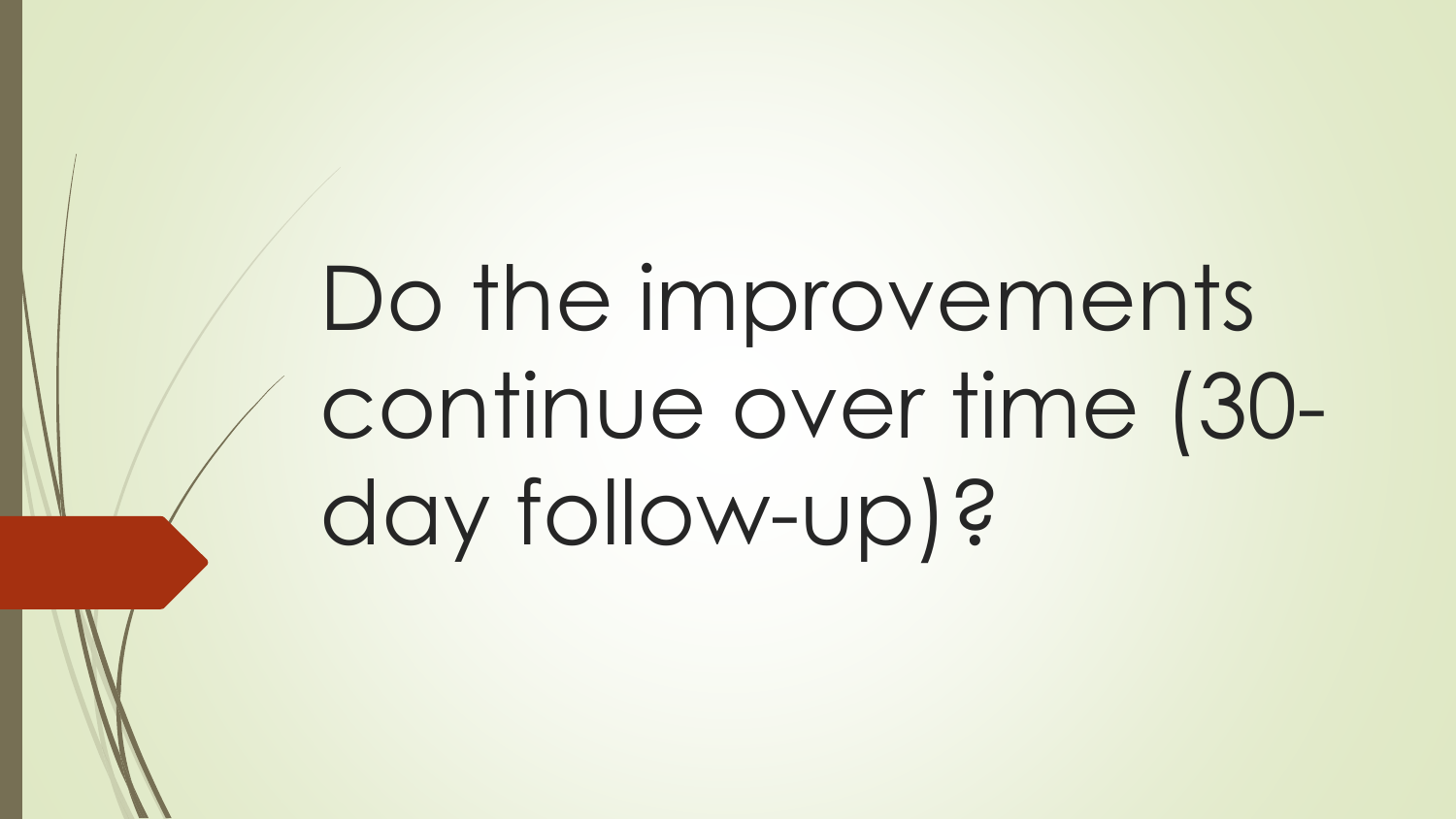# Do the improvements continue over time (30 day follow-up)?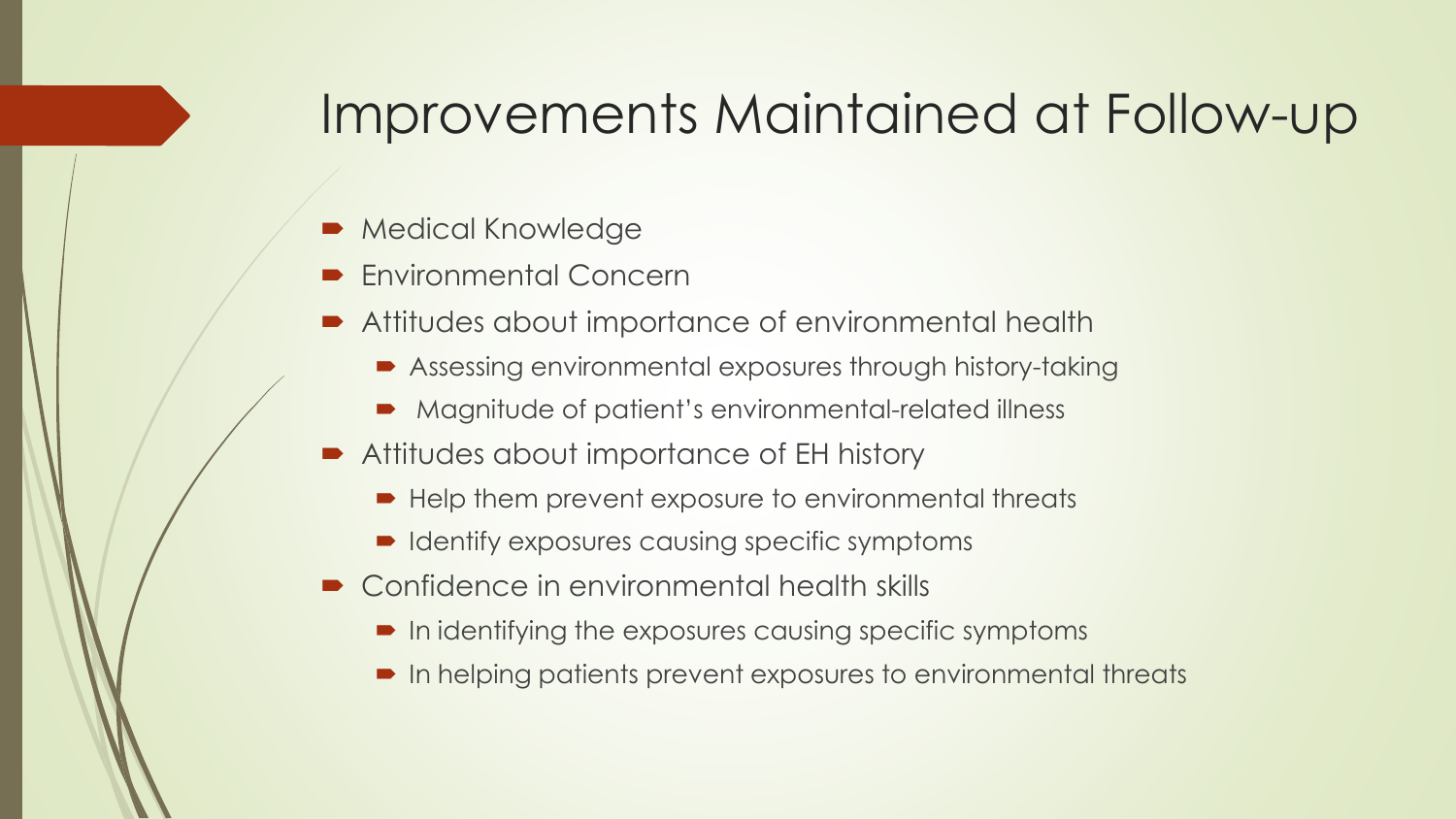#### Improvements Maintained at Follow-up

- Medical Knowledge
- Environmental Concern
- Attitudes about importance of environmental health
	- Assessing environmental exposures through history-taking
	- Magnitude of patient's environmental-related illness
- Attitudes about importance of EH history
	- Help them prevent exposure to environmental threats
	- Identify exposures causing specific symptoms
- Confidence in environmental health skills
	- $\blacksquare$  In identifying the exposures causing specific symptoms
	- In helping patients prevent exposures to environmental threats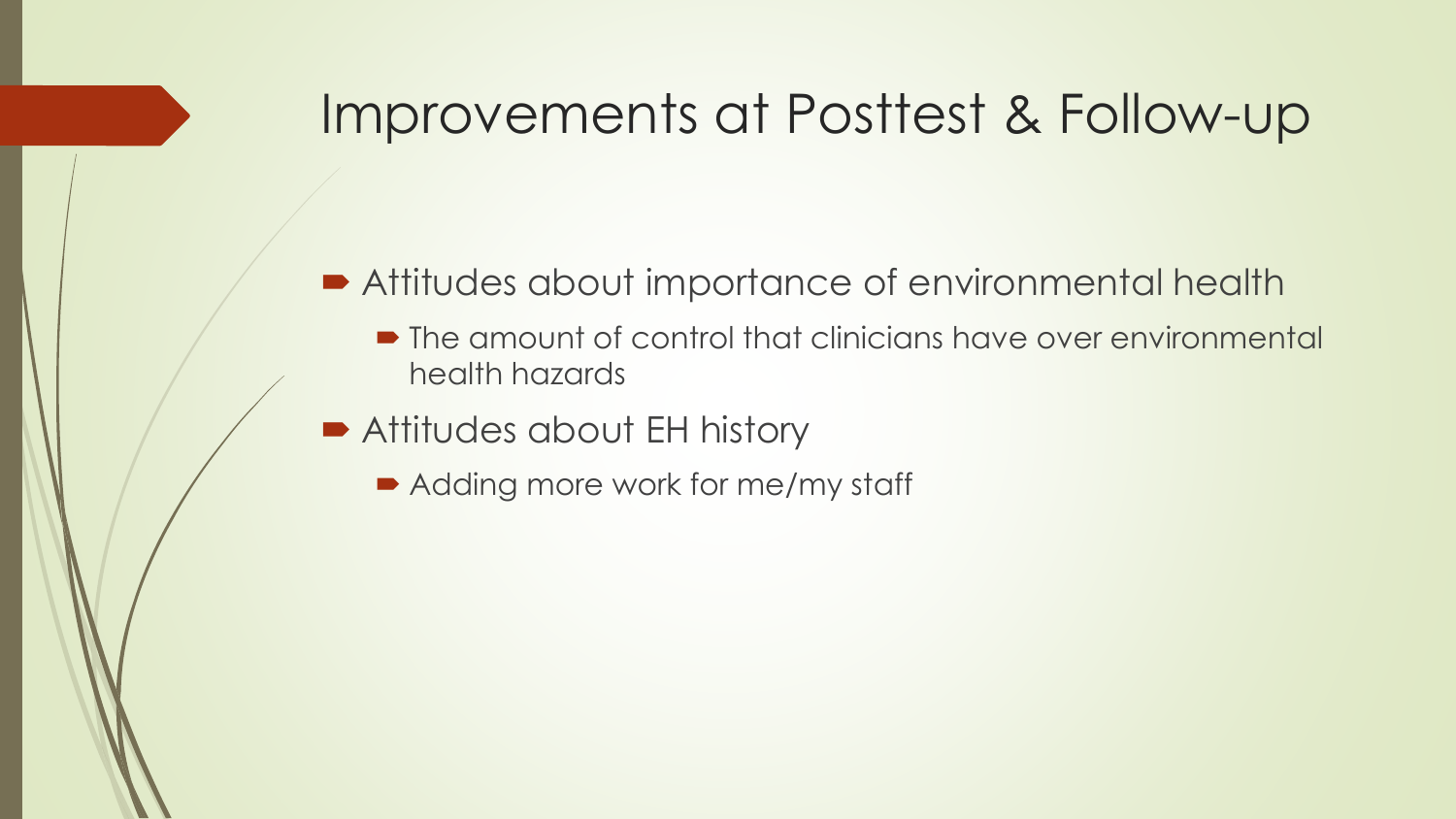#### Improvements at Posttest & Follow-up

#### ■ Attitudes about importance of environmental health

- The amount of control that clinicians have over environmental health hazards
- Attitudes about EH history
	- Adding more work for me/my staff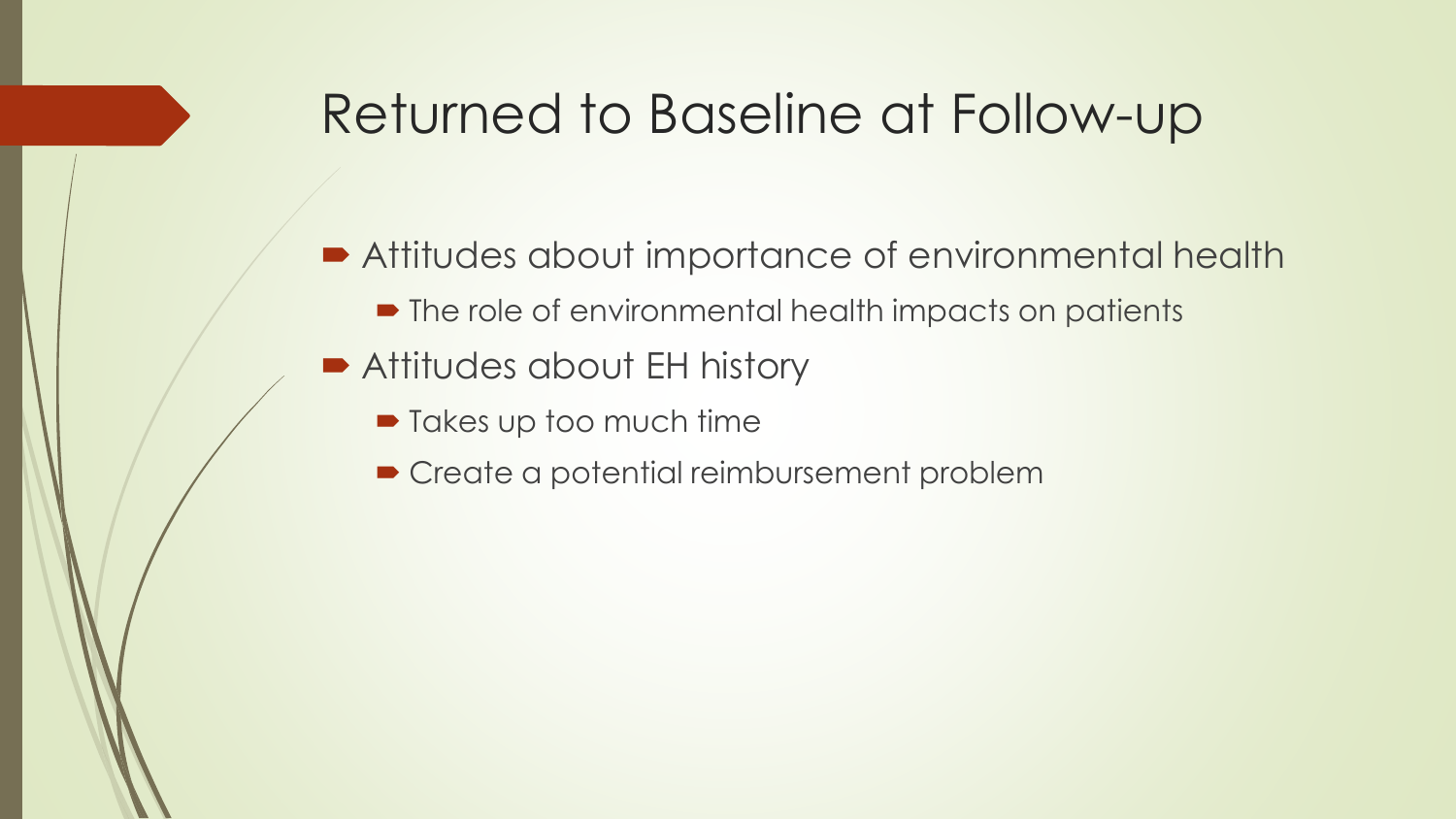#### Returned to Baseline at Follow-up

- Attitudes about importance of environmental health
	- $\blacksquare$  The role of environmental health impacts on patients
- Attitudes about EH history
	- $\blacksquare$  Takes up too much time
	- **Create a potential reimbursement problem**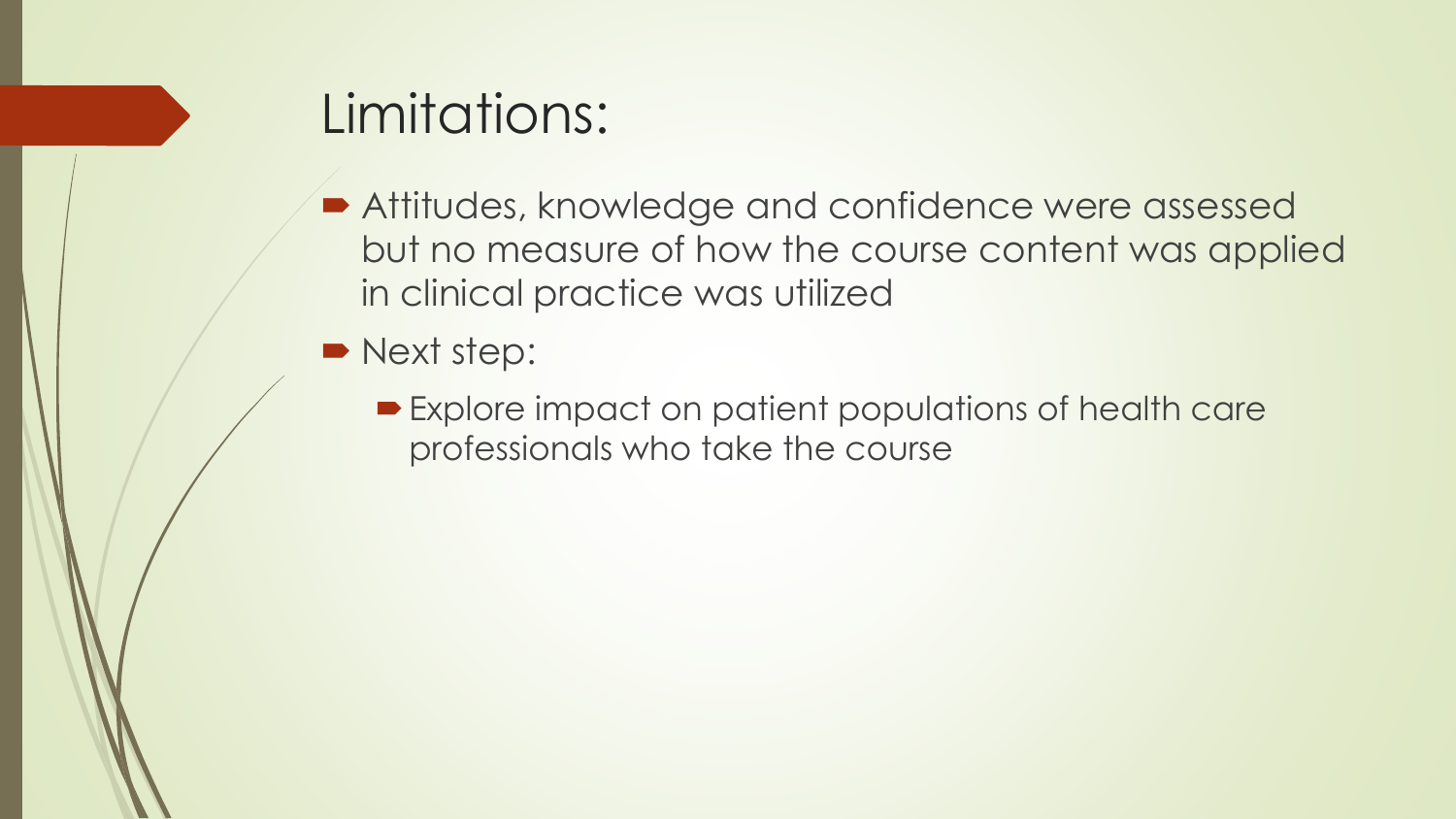#### Limitations:

- **Attitudes, knowledge and confidence were assessed** but no measure of how the course content was applied in clinical practice was utilized
- Next step:
	- Explore impact on patient populations of health care professionals who take the course